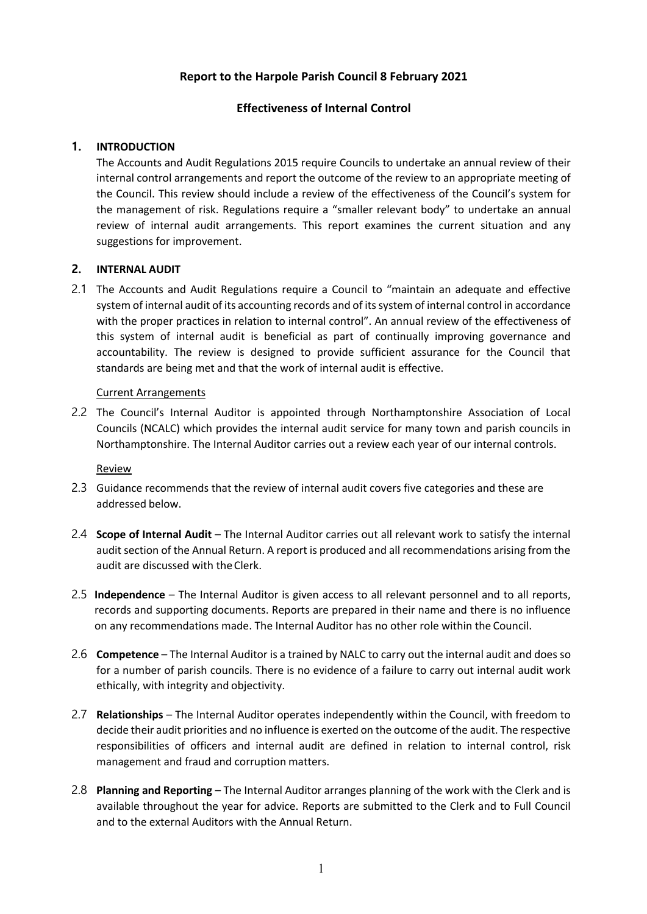# **Report to the Harpole Parish Council 8 February 2021**

## **Effectiveness of Internal Control**

### **1. INTRODUCTION**

The Accounts and Audit Regulations 2015 require Councils to undertake an annual review of their internal control arrangements and report the outcome of the review to an appropriate meeting of the Council. This review should include a review of the effectiveness of the Council's system for the management of risk. Regulations require a "smaller relevant body" to undertake an annual review of internal audit arrangements. This report examines the current situation and any suggestions for improvement.

### **2. INTERNAL AUDIT**

2.1 The Accounts and Audit Regulations require a Council to "maintain an adequate and effective system of internal audit of its accounting records and of its system of internal control in accordance with the proper practices in relation to internal control". An annual review of the effectiveness of this system of internal audit is beneficial as part of continually improving governance and accountability. The review is designed to provide sufficient assurance for the Council that standards are being met and that the work of internal audit is effective.

#### Current Arrangements

2.2 The Council's Internal Auditor is appointed through Northamptonshire Association of Local Councils (NCALC) which provides the internal audit service for many town and parish councils in Northamptonshire. The Internal Auditor carries out a review each year of our internal controls.

#### Review

- 2.3 Guidance recommends that the review of internal audit covers five categories and these are addressed below.
- 2.4 **Scope of Internal Audit**  The Internal Auditor carries out all relevant work to satisfy the internal audit section of the Annual Return. A report is produced and all recommendations arising from the audit are discussed with theClerk.
- 2.5 **Independence**  The Internal Auditor is given access to all relevant personnel and to all reports, records and supporting documents. Reports are prepared in their name and there is no influence on any recommendations made. The Internal Auditor has no other role within the Council.
- 2.6 **Competence**  The Internal Auditor is a trained by NALC to carry out the internal audit and does so for a number of parish councils. There is no evidence of a failure to carry out internal audit work ethically, with integrity and objectivity.
- 2.7 **Relationships**  The Internal Auditor operates independently within the Council, with freedom to decide their audit priorities and no influence is exerted on the outcome of the audit. The respective responsibilities of officers and internal audit are defined in relation to internal control, risk management and fraud and corruption matters.
- 2.8 **Planning and Reporting**  The Internal Auditor arranges planning of the work with the Clerk and is available throughout the year for advice. Reports are submitted to the Clerk and to Full Council and to the external Auditors with the Annual Return.